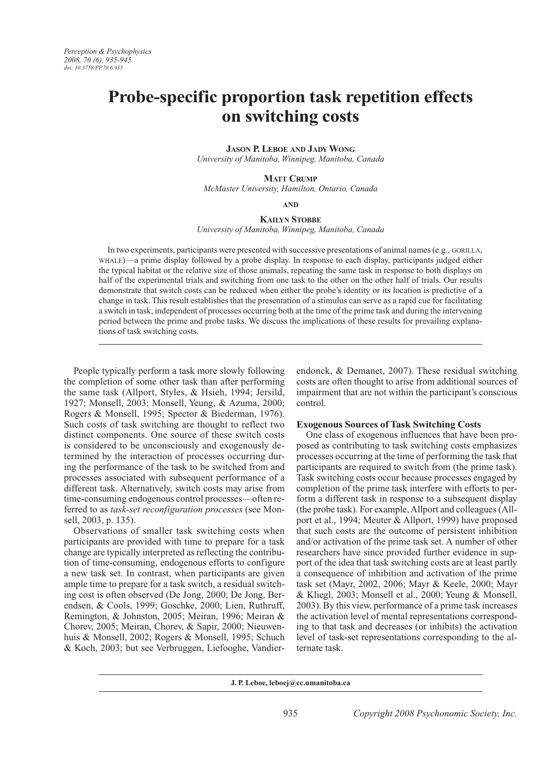# **Probe-specific proportion task repetition effects on switching costs**

**Jason P. Leboe and Jady Wong**

*University of Manitoba, Winnipeg, Manitoba, Canada*

**MATT CRUMP** 

*McMaster University, Hamilton, Ontario, Canada*

**and**

**Kailyn Stobbe** *University of Manitoba, Winnipeg, Manitoba, Canada*

In two experiments, participants were presented with successive presentations of animal names (e.g., GORILLA, whale)—a prime display followed by a probe display. In response to each display, participants judged either the typical habitat or the relative size of those animals, repeating the same task in response to both displays on half of the experimental trials and switching from one task to the other on the other half of trials. Our results demonstrate that switch costs can be reduced when either the probe's identity or its location is predictive of a change in task. This result establishes that the presentation of a stimulus can serve as a rapid cue for facilitating a switch in task, independent of processes occurring both at the time of the prime task and during the intervening period between the prime and probe tasks. We discuss the implications of these results for prevailing explanations of task switching costs.

People typically perform a task more slowly following the completion of some other task than after performing the same task (Allport, Styles, & Hsieh, 1994; Jersild, 1927; Monsell, 2003; Monsell, Yeung, & Azuma, 2000; Rogers & Monsell, 1995; Spector & Biederman, 1976). Such costs of task switching are thought to reflect two distinct components. One source of these switch costs is considered to be unconsciously and exogenously determined by the interaction of processes occurring during the performance of the task to be switched from and processes associated with subsequent performance of a different task. Alternatively, switch costs may arise from time-consuming endogenous control processes—often referred to as *task-set reconfiguration processes* (see Monsell, 2003, p. 135).

Observations of smaller task switching costs when participants are provided with time to prepare for a task change are typically interpreted as reflecting the contribution of time-consuming, endogenous efforts to configure a new task set. In contrast, when participants are given ample time to prepare for a task switch, a residual switching cost is often observed (De Jong, 2000; De Jong, Berendsen, & Cools, 1999; Goschke, 2000; Lien, Ruthruff, Remington, & Johnston, 2005; Meiran, 1996; Meiran & Chorev, 2005; Meiran, Chorev, & Sapir, 2000; Nieuwenhuis & Monsell, 2002; Rogers & Monsell, 1995; Schuch & Koch, 2003; but see Verbruggen, Liefooghe, Vandierendonck, & Demanet, 2007). These residual switching costs are often thought to arise from additional sources of impairment that are not within the participant's conscious control.

# **Exogenous Sources of Task Switching Costs**

One class of exogenous influences that have been proposed as contributing to task switching costs emphasizes processes occurring at the time of performing the task that participants are required to switch from (the prime task). Task switching costs occur because processes engaged by completion of the prime task interfere with efforts to perform a different task in response to a subsequent display (the probe task). For example, Allport and colleagues (Allport et al., 1994; Meuter & Allport, 1999) have proposed that such costs are the outcome of persistent inhibition and/or activation of the prime task set. A number of other researchers have since provided further evidence in support of the idea that task switching costs are at least partly a consequence of inhibition and activation of the prime task set (Mayr, 2002, 2006; Mayr & Keele, 2000; Mayr & Kliegl, 2003; Monsell et al., 2000; Yeung & Monsell, 2003). By this view, performance of a prime task increases the activation level of mental representations corresponding to that task and decreases (or inhibits) the activation level of task-set representations corresponding to the alternate task.

**J. P. Leboe, leboej@cc.umanitoba.ca**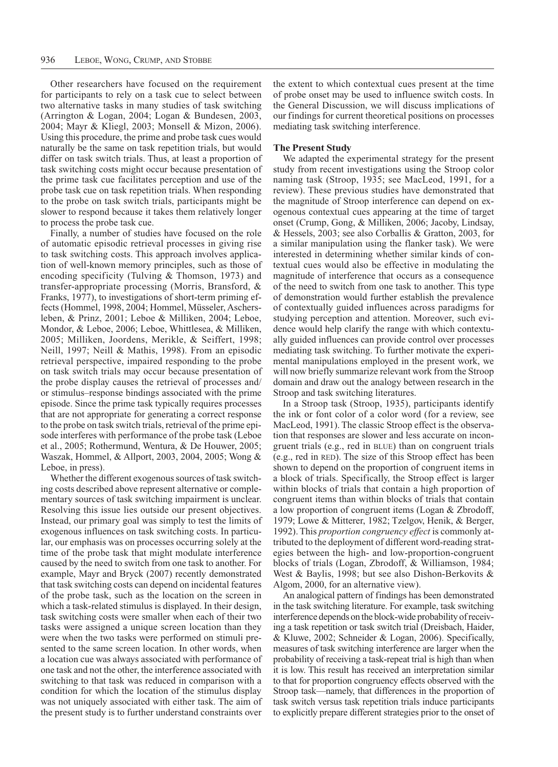Other researchers have focused on the requirement for participants to rely on a task cue to select between two alternative tasks in many studies of task switching (Arrington & Logan, 2004; Logan & Bundesen, 2003, 2004; Mayr & Kliegl, 2003; Monsell & Mizon, 2006). Using this procedure, the prime and probe task cues would naturally be the same on task repetition trials, but would differ on task switch trials. Thus, at least a proportion of task switching costs might occur because presentation of the prime task cue facilitates perception and use of the probe task cue on task repetition trials. When responding to the probe on task switch trials, participants might be slower to respond because it takes them relatively longer to process the probe task cue.

Finally, a number of studies have focused on the role of automatic episodic retrieval processes in giving rise to task switching costs. This approach involves application of well-known memory principles, such as those of encoding specificity (Tulving & Thomson, 1973) and transfer-appropriate processing (Morris, Bransford, & Franks, 1977), to investigations of short-term priming effects (Hommel, 1998, 2004; Hommel, Müsseler, Aschersleben, & Prinz, 2001; Leboe & Milliken, 2004; Leboe, Mondor, & Leboe, 2006; Leboe, Whittlesea, & Milliken, 2005; Milliken, Joordens, Merikle, & Seiffert, 1998; Neill, 1997; Neill & Mathis, 1998). From an episodic retrieval perspective, impaired responding to the probe on task switch trials may occur because presentation of the probe display causes the retrieval of processes and/ or stimulus–response bindings associated with the prime episode. Since the prime task typically requires processes that are not appropriate for generating a correct response to the probe on task switch trials, retrieval of the prime episode interferes with performance of the probe task (Leboe et al., 2005; Rothermund, Wentura, & De Houwer, 2005; Waszak, Hommel, & Allport, 2003, 2004, 2005; Wong & Leboe, in press).

Whether the different exogenous sources of task switching costs described above represent alternative or complementary sources of task switching impairment is unclear. Resolving this issue lies outside our present objectives. Instead, our primary goal was simply to test the limits of exogenous influences on task switching costs. In particular, our emphasis was on processes occurring solely at the time of the probe task that might modulate interference caused by the need to switch from one task to another. For example, Mayr and Bryck (2007) recently demonstrated that task switching costs can depend on incidental features of the probe task, such as the location on the screen in which a task-related stimulus is displayed. In their design, task switching costs were smaller when each of their two tasks were assigned a unique screen location than they were when the two tasks were performed on stimuli presented to the same screen location. In other words, when a location cue was always associated with performance of one task and not the other, the interference associated with switching to that task was reduced in comparison with a condition for which the location of the stimulus display was not uniquely associated with either task. The aim of the present study is to further understand constraints over

the extent to which contextual cues present at the time of probe onset may be used to influence switch costs. In the General Discussion, we will discuss implications of our findings for current theoretical positions on processes mediating task switching interference.

## **The Present Study**

We adapted the experimental strategy for the present study from recent investigations using the Stroop color naming task (Stroop, 1935; see MacLeod, 1991, for a review). These previous studies have demonstrated that the magnitude of Stroop interference can depend on exogenous contextual cues appearing at the time of target onset (Crump, Gong, & Milliken, 2006; Jacoby, Lindsay, & Hessels, 2003; see also Corballis & Gratton, 2003, for a similar manipulation using the flanker task). We were interested in determining whether similar kinds of contextual cues would also be effective in modulating the magnitude of interference that occurs as a consequence of the need to switch from one task to another. This type of demonstration would further establish the prevalence of contextually guided influences across paradigms for studying perception and attention. Moreover, such evidence would help clarify the range with which contextually guided influences can provide control over processes mediating task switching. To further motivate the experimental manipulations employed in the present work, we will now briefly summarize relevant work from the Stroop domain and draw out the analogy between research in the Stroop and task switching literatures.

In a Stroop task (Stroop, 1935), participants identify the ink or font color of a color word (for a review, see MacLeod, 1991). The classic Stroop effect is the observation that responses are slower and less accurate on incongruent trials (e.g., red in BLUE) than on congruent trials (e.g., red in RED). The size of this Stroop effect has been shown to depend on the proportion of congruent items in a block of trials. Specifically, the Stroop effect is larger within blocks of trials that contain a high proportion of congruent items than within blocks of trials that contain a low proportion of congruent items (Logan & Zbrodoff, 1979; Lowe & Mitterer, 1982; Tzelgov, Henik, & Berger, 1992). This *proportion congruency effect* is commonly attributed to the deployment of different word-reading strategies between the high- and low-proportion-congruent blocks of trials (Logan, Zbrodoff, & Williamson, 1984; West & Baylis, 1998; but see also Dishon-Berkovits & Algom, 2000, for an alternative view).

An analogical pattern of findings has been demonstrated in the task switching literature. For example, task switching interference depends on the block-wide probability of receiving a task repetition or task switch trial (Dreisbach, Haider, & Kluwe, 2002; Schneider & Logan, 2006). Specifically, measures of task switching interference are larger when the probability of receiving a task-repeat trial is high than when it is low. This result has received an interpretation similar to that for proportion congruency effects observed with the Stroop task—namely, that differences in the proportion of task switch versus task repetition trials induce participants to explicitly prepare different strategies prior to the onset of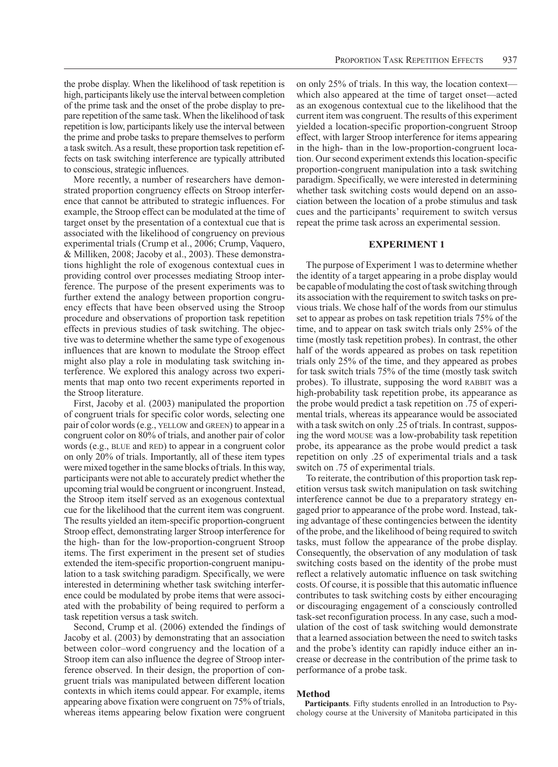the probe display. When the likelihood of task repetition is high, participants likely use the interval between completion of the prime task and the onset of the probe display to prepare repetition of the same task. When the likelihood of task repetition is low, participants likely use the interval between the prime and probe tasks to prepare themselves to perform a task switch. As a result, these proportion task repetition effects on task switching interference are typically attributed to conscious, strategic influences.

More recently, a number of researchers have demonstrated proportion congruency effects on Stroop interference that cannot be attributed to strategic influences. For example, the Stroop effect can be modulated at the time of target onset by the presentation of a contextual cue that is associated with the likelihood of congruency on previous experimental trials (Crump et al., 2006; Crump, Vaquero, & Milliken, 2008; Jacoby et al., 2003). These demonstrations highlight the role of exogenous contextual cues in providing control over processes mediating Stroop interference. The purpose of the present experiments was to further extend the analogy between proportion congruency effects that have been observed using the Stroop procedure and observations of proportion task repetition effects in previous studies of task switching. The objective was to determine whether the same type of exogenous influences that are known to modulate the Stroop effect might also play a role in modulating task switching interference. We explored this analogy across two experiments that map onto two recent experiments reported in the Stroop literature.

First, Jacoby et al. (2003) manipulated the proportion of congruent trials for specific color words, selecting one pair of color words (e.g., YELLOW and GREEN) to appear in a congruent color on 80% of trials, and another pair of color words (e.g., BLUE and RED) to appear in a congruent color on only 20% of trials. Importantly, all of these item types were mixed together in the same blocks of trials. In this way, participants were not able to accurately predict whether the upcoming trial would be congruent or incongruent. Instead, the Stroop item itself served as an exogenous contextual cue for the likelihood that the current item was congruent. The results yielded an item-specific proportion-congruent Stroop effect, demonstrating larger Stroop interference for the high- than for the low-proportion-congruent Stroop items. The first experiment in the present set of studies extended the item-specific proportion-congruent manipulation to a task switching paradigm. Specifically, we were interested in determining whether task switching interference could be modulated by probe items that were associated with the probability of being required to perform a task repetition versus a task switch.

Second, Crump et al. (2006) extended the findings of Jacoby et al. (2003) by demonstrating that an association between color–word congruency and the location of a Stroop item can also influence the degree of Stroop interference observed. In their design, the proportion of congruent trials was manipulated between different location contexts in which items could appear. For example, items appearing above fixation were congruent on 75% of trials, whereas items appearing below fixation were congruent

on only 25% of trials. In this way, the location context which also appeared at the time of target onset—acted as an exogenous contextual cue to the likelihood that the current item was congruent. The results of this experiment yielded a location-specific proportion-congruent Stroop effect, with larger Stroop interference for items appearing in the high- than in the low-proportion-congruent location. Our second experiment extends this location-specific proportion-congruent manipulation into a task switching paradigm. Specifically, we were interested in determining whether task switching costs would depend on an association between the location of a probe stimulus and task cues and the participants' requirement to switch versus repeat the prime task across an experimental session.

# **Experiment 1**

The purpose of Experiment 1 was to determine whether the identity of a target appearing in a probe display would be capable of modulating the cost of task switching through its association with the requirement to switch tasks on previous trials. We chose half of the words from our stimulus set to appear as probes on task repetition trials 75% of the time, and to appear on task switch trials only 25% of the time (mostly task repetition probes). In contrast, the other half of the words appeared as probes on task repetition trials only 25% of the time, and they appeared as probes for task switch trials 75% of the time (mostly task switch probes). To illustrate, supposing the word RABBIT was a high-probability task repetition probe, its appearance as the probe would predict a task repetition on .75 of experimental trials, whereas its appearance would be associated with a task switch on only .25 of trials. In contrast, supposing the word mouse was a low-probability task repetition probe, its appearance as the probe would predict a task repetition on only .25 of experimental trials and a task switch on .75 of experimental trials.

To reiterate, the contribution of this proportion task repetition versus task switch manipulation on task switching interference cannot be due to a preparatory strategy engaged prior to appearance of the probe word. Instead, taking advantage of these contingencies between the identity of the probe, and the likelihood of being required to switch tasks, must follow the appearance of the probe display. Consequently, the observation of any modulation of task switching costs based on the identity of the probe must reflect a relatively automatic influence on task switching costs. Of course, it is possible that this automatic influence contributes to task switching costs by either encouraging or discouraging engagement of a consciously controlled task-set reconfiguration process. In any case, such a modulation of the cost of task switching would demonstrate that a learned association between the need to switch tasks and the probe's identity can rapidly induce either an increase or decrease in the contribution of the prime task to performance of a probe task.

#### **Method**

**Participants**. Fifty students enrolled in an Introduction to Psychology course at the University of Manitoba participated in this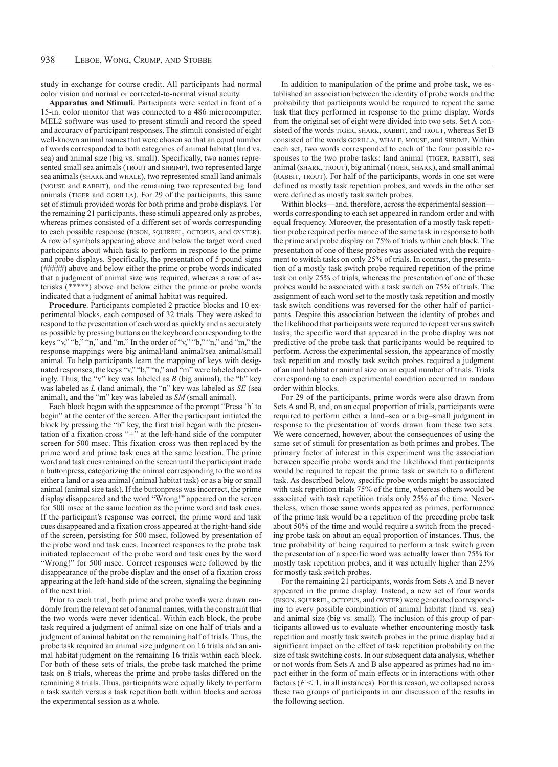study in exchange for course credit. All participants had normal color vision and normal or corrected-to-normal visual acuity.

**Apparatus and Stimuli**. Participants were seated in front of a 15-in. color monitor that was connected to a 486 microcomputer. MEL2 software was used to present stimuli and record the speed and accuracy of participant responses. The stimuli consisted of eight well-known animal names that were chosen so that an equal number of words corresponded to both categories of animal habitat (land vs. sea) and animal size (big vs. small). Specifically, two names represented small sea animals (TROUT and SHRIMP), two represented large sea animals (shark and whale), two represented small land animals (MOUSE and RABBIT), and the remaining two represented big land animals (TIGER and GORILLA). For 29 of the participants, this same set of stimuli provided words for both prime and probe displays. For the remaining 21 participants, these stimuli appeared only as probes, whereas primes consisted of a different set of words corresponding to each possible response (bison, squirrel, octopus, and oyster). A row of symbols appearing above and below the target word cued participants about which task to perform in response to the prime and probe displays. Specifically, the presentation of 5 pound signs (*#####*) above and below either the prime or probe words indicated that a judgment of animal size was required, whereas a row of asterisks (*\*\*\*\*\**) above and below either the prime or probe words indicated that a judgment of animal habitat was required.

**Procedure**. Participants completed 2 practice blocks and 10 experimental blocks, each composed of 32 trials. They were asked to respond to the presentation of each word as quickly and as accurately as possible by pressing buttons on the keyboard corresponding to the keys "v," "b," "n," and "m." In the order of "v," "b," "n," and "m," the response mappings were big animal/land animal/sea animal/small animal. To help participants learn the mapping of keys with designated responses, the keys "v," "b," "n," and "m" were labeled accordingly. Thus, the "v" key was labeled as *B* (big animal), the "b" key was labeled as *L* (land animal), the "n" key was labeled as *SE* (sea animal), and the "m" key was labeled as *SM* (small animal).

Each block began with the appearance of the prompt "Press 'b' to begin" at the center of the screen. After the participant initiated the block by pressing the "b" key, the first trial began with the presentation of a fixation cross "+" at the left-hand side of the computer screen for 500 msec. This fixation cross was then replaced by the prime word and prime task cues at the same location. The prime word and task cues remained on the screen until the participant made a buttonpress, categorizing the animal corresponding to the word as either a land or a sea animal (animal habitat task) or as a big or small animal (animal size task). If the buttonpress was incorrect, the prime display disappeared and the word "Wrong!" appeared on the screen for 500 msec at the same location as the prime word and task cues. If the participant's response was correct, the prime word and task cues disappeared and a fixation cross appeared at the right-hand side of the screen, persisting for 500 msec, followed by presentation of the probe word and task cues. Incorrect responses to the probe task initiated replacement of the probe word and task cues by the word "Wrong!" for 500 msec. Correct responses were followed by the disappearance of the probe display and the onset of a fixation cross appearing at the left-hand side of the screen, signaling the beginning of the next trial.

Prior to each trial, both prime and probe words were drawn randomly from the relevant set of animal names, with the constraint that the two words were never identical. Within each block, the probe task required a judgment of animal size on one half of trials and a judgment of animal habitat on the remaining half of trials. Thus, the probe task required an animal size judgment on 16 trials and an animal habitat judgment on the remaining 16 trials within each block. For both of these sets of trials, the probe task matched the prime task on 8 trials, whereas the prime and probe tasks differed on the remaining 8 trials. Thus, participants were equally likely to perform a task switch versus a task repetition both within blocks and across the experimental session as a whole.

In addition to manipulation of the prime and probe task, we established an association between the identity of probe words and the probability that participants would be required to repeat the same task that they performed in response to the prime display. Words from the original set of eight were divided into two sets. Set A consisted of the words TIGER, SHARK, RABBIT, and TROUT, whereas Set B consisted of the words gorilla, whale, mouse, and shrimp. Within each set, two words corresponded to each of the four possible responses to the two probe tasks: land animal (TIGER, RABBIT), sea animal (SHARK, TROUT), big animal (TIGER, SHARK), and small animal (rabbit, trout). For half of the participants, words in one set were defined as mostly task repetition probes, and words in the other set were defined as mostly task switch probes.

Within blocks—and, therefore, across the experimental session words corresponding to each set appeared in random order and with equal frequency. Moreover, the presentation of a mostly task repetition probe required performance of the same task in response to both the prime and probe display on 75% of trials within each block. The presentation of one of these probes was associated with the requirement to switch tasks on only 25% of trials. In contrast, the presentation of a mostly task switch probe required repetition of the prime task on only 25% of trials, whereas the presentation of one of these probes would be associated with a task switch on 75% of trials. The assignment of each word set to the mostly task repetition and mostly task switch conditions was reversed for the other half of participants. Despite this association between the identity of probes and the likelihood that participants were required to repeat versus switch tasks, the specific word that appeared in the probe display was not predictive of the probe task that participants would be required to perform. Across the experimental session, the appearance of mostly task repetition and mostly task switch probes required a judgment of animal habitat or animal size on an equal number of trials. Trials corresponding to each experimental condition occurred in random order within blocks.

For 29 of the participants, prime words were also drawn from Sets A and B, and, on an equal proportion of trials, participants were required to perform either a land–sea or a big–small judgment in response to the presentation of words drawn from these two sets. We were concerned, however, about the consequences of using the same set of stimuli for presentation as both primes and probes. The primary factor of interest in this experiment was the association between specific probe words and the likelihood that participants would be required to repeat the prime task or switch to a different task. As described below, specific probe words might be associated with task repetition trials 75% of the time, whereas others would be associated with task repetition trials only 25% of the time. Nevertheless, when those same words appeared as primes, performance of the prime task would be a repetition of the preceding probe task about 50% of the time and would require a switch from the preceding probe task on about an equal proportion of instances. Thus, the true probability of being required to perform a task switch given the presentation of a specific word was actually lower than 75% for mostly task repetition probes, and it was actually higher than 25% for mostly task switch probes.

For the remaining 21 participants, words from Sets A and B never appeared in the prime display. Instead, a new set of four words (bison, squirrel, octopus, and oyster) were generated corresponding to every possible combination of animal habitat (land vs. sea) and animal size (big vs. small). The inclusion of this group of participants allowed us to evaluate whether encountering mostly task repetition and mostly task switch probes in the prime display had a significant impact on the effect of task repetition probability on the size of task switching costs. In our subsequent data analysis, whether or not words from Sets A and B also appeared as primes had no impact either in the form of main effects or in interactions with other factors  $(F < 1$ , in all instances). For this reason, we collapsed across these two groups of participants in our discussion of the results in the following section.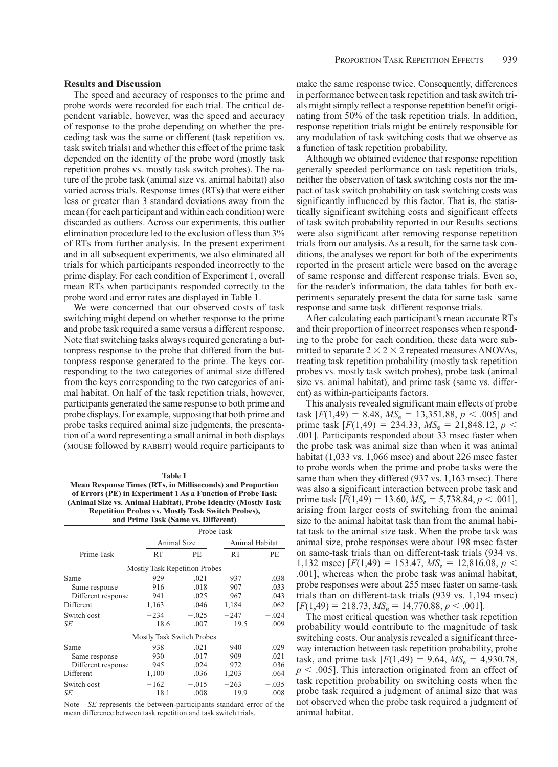# **Results and Discussion**

The speed and accuracy of responses to the prime and probe words were recorded for each trial. The critical dependent variable, however, was the speed and accuracy of response to the probe depending on whether the preceding task was the same or different (task repetition vs. task switch trials) and whether this effect of the prime task depended on the identity of the probe word (mostly task repetition probes vs. mostly task switch probes). The nature of the probe task (animal size vs. animal habitat) also varied across trials. Response times (RTs) that were either less or greater than 3 standard deviations away from the mean (for each participant and within each condition) were discarded as outliers. Across our experiments, this outlier elimination procedure led to the exclusion of less than 3% of RTs from further analysis. In the present experiment and in all subsequent experiments, we also eliminated all trials for which participants responded incorrectly to the prime display. For each condition of Experiment 1, overall mean RTs when participants responded correctly to the probe word and error rates are displayed in Table 1.

We were concerned that our observed costs of task switching might depend on whether response to the prime and probe task required a same versus a different response. Note that switching tasks always required generating a buttonpress response to the probe that differed from the buttonpress response generated to the prime. The keys corresponding to the two categories of animal size differed from the keys corresponding to the two categories of animal habitat. On half of the task repetition trials, however, participants generated the same response to both prime and probe displays. For example, supposing that both prime and probe tasks required animal size judgments, the presentation of a word representing a small animal in both displays (mouse followed by rabbit) would require participants to

#### **Table 1**

**Mean Response Times (RTs, in Milliseconds) and Proportion of Errors (PE) in Experiment 1 As a Function of Probe Task (Animal Size vs. Animal Habitat), Probe Identity (Mostly Task Repetition Probes vs. Mostly Task Switch Probes), and Prime Task (Same vs. Different)**

|                    | Probe Task                           |         |                |         |
|--------------------|--------------------------------------|---------|----------------|---------|
|                    | Animal Size                          |         | Animal Habitat |         |
| Prime Task         | RT                                   | PE      | <b>RT</b>      | PE      |
|                    | <b>Mostly Task Repetition Probes</b> |         |                |         |
| Same               | 929                                  | .021    | 937            | .038    |
| Same response      | 916                                  | .018    | 907            | .033    |
| Different response | 941                                  | .025    | 967            | .043    |
| <b>Different</b>   | 1,163                                | .046    | 1,184          | .062    |
| Switch cost        | $-234$                               | $-.025$ | $-247$         | $-.024$ |
| SE                 | 18.6                                 | .007    | 19.5           | .009    |
|                    | <b>Mostly Task Switch Probes</b>     |         |                |         |
| Same               | 938                                  | .021    | 940            | .029    |
| Same response      | 930                                  | .017    | 909            | .021    |
| Different response | 945                                  | .024    | 972            | .036    |
| <b>Different</b>   | 1,100                                | .036    | 1,203          | .064    |
| Switch cost        | $-162$                               | $-.015$ | $-263$         | $-.035$ |
| SE                 | 18.1                                 | .008    | 19.9           | .008    |

Note—*SE* represents the between-participants standard error of the mean difference between task repetition and task switch trials.

make the same response twice. Consequently, differences in performance between task repetition and task switch trials might simply reflect a response repetition benefit originating from 50% of the task repetition trials. In addition, response repetition trials might be entirely responsible for any modulation of task switching costs that we observe as a function of task repetition probability.

Although we obtained evidence that response repetition generally speeded performance on task repetition trials, neither the observation of task switching costs nor the impact of task switch probability on task switching costs was significantly influenced by this factor. That is, the statistically significant switching costs and significant effects of task switch probability reported in our Results sections were also significant after removing response repetition trials from our analysis. As a result, for the same task conditions, the analyses we report for both of the experiments reported in the present article were based on the average of same response and different response trials. Even so, for the reader's information, the data tables for both experiments separately present the data for same task–same response and same task–different response trials.

After calculating each participant's mean accurate RTs and their proportion of incorrect responses when responding to the probe for each condition, these data were submitted to separate  $2 \times 2 \times 2$  repeated measures ANOVAs, treating task repetition probability (mostly task repetition probes vs. mostly task switch probes), probe task (animal size vs. animal habitat), and prime task (same vs. different) as within-participants factors.

This analysis revealed significant main effects of probe task  $[F(1,49) = 8.48, MS<sub>e</sub> = 13,351.88, p < .005]$  and prime task  $[F(1,49) = 234.33, MS<sub>e</sub> = 21,848.12, p <$ .001]. Participants responded about 33 msec faster when the probe task was animal size than when it was animal habitat (1,033 vs. 1,066 msec) and about 226 msec faster to probe words when the prime and probe tasks were the same than when they differed (937 vs. 1,163 msec). There was also a significant interaction between probe task and prime task  $[F(1,49) = 13.60, MS_e = 5,738.84, p < .001]$ , arising from larger costs of switching from the animal size to the animal habitat task than from the animal habitat task to the animal size task. When the probe task was animal size, probe responses were about 198 msec faster on same-task trials than on different-task trials (934 vs. 1,132 msec)  $[F(1,49) = 153.47, MS<sub>e</sub> = 12,816.08, p <$ .001], whereas when the probe task was animal habitat, probe responses were about 255 msec faster on same-task trials than on different-task trials (939 vs. 1,194 msec)  $[F(1,49) = 218.73, M_s = 14,770.88, p < .001].$ 

The most critical question was whether task repetition probability would contribute to the magnitude of task switching costs. Our analysis revealed a significant threeway interaction between task repetition probability, probe task, and prime task  $[F(1,49) = 9.64, MS_e = 4,930.78,$  $p < .005$ ]. This interaction originated from an effect of task repetition probability on switching costs when the probe task required a judgment of animal size that was not observed when the probe task required a judgment of animal habitat.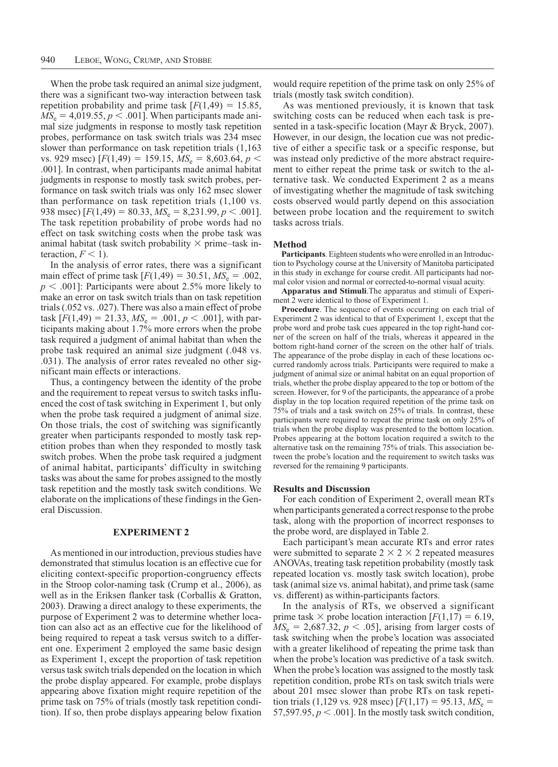When the probe task required an animal size judgment, there was a significant two-way interaction between task repetition probability and prime task  $[F(1,49) = 15.85]$ ,  $MS_e = 4,019.55, p < .001$ . When participants made animal size judgments in response to mostly task repetition probes, performance on task switch trials was 234 msec slower than performance on task repetition trials (1,163 vs. 929 msec)  $[F(1,49) = 159.15, MS<sub>e</sub> = 8,603.64, p <$ .001]. In contrast, when participants made animal habitat judgments in response to mostly task switch probes, performance on task switch trials was only 162 msec slower than performance on task repetition trials (1,100 vs. 938 msec)  $[F(1,49) = 80.33, MS_e = 8,231.99, p < .001]$ . The task repetition probability of probe words had no effect on task switching costs when the probe task was animal habitat (task switch probability  $\times$  prime–task interaction,  $F < 1$ ).

In the analysis of error rates, there was a significant main effect of prime task  $[F(1,49) = 30.51, MS_e = .002,$  $p < .001$ ]: Participants were about 2.5% more likely to make an error on task switch trials than on task repetition trials (.052 vs. .027). There was also a main effect of probe task  $[F(1,49) = 21.33, MS_e = .001, p < .001]$ , with participants making about 1.7% more errors when the probe task required a judgment of animal habitat than when the probe task required an animal size judgment (.048 vs. .031). The analysis of error rates revealed no other significant main effects or interactions.

Thus, a contingency between the identity of the probe and the requirement to repeat versus to switch tasks influenced the cost of task switching in Experiment 1, but only when the probe task required a judgment of animal size. On those trials, the cost of switching was significantly greater when participants responded to mostly task repetition probes than when they responded to mostly task switch probes. When the probe task required a judgment of animal habitat, participants' difficulty in switching tasks was about the same for probes assigned to the mostly task repetition and the mostly task switch conditions. We elaborate on the implications of these findings in the General Discussion.

## **Experiment 2**

As mentioned in our introduction, previous studies have demonstrated that stimulus location is an effective cue for eliciting context-specific proportion-congruency effects in the Stroop color-naming task (Crump et al., 2006), as well as in the Eriksen flanker task (Corballis & Gratton, 2003). Drawing a direct analogy to these experiments, the purpose of Experiment 2 was to determine whether location can also act as an effective cue for the likelihood of being required to repeat a task versus switch to a different one. Experiment 2 employed the same basic design as Experiment 1, except the proportion of task repetition versus task switch trials depended on the location in which the probe display appeared. For example, probe displays appearing above fixation might require repetition of the prime task on 75% of trials (mostly task repetition condition). If so, then probe displays appearing below fixation

would require repetition of the prime task on only 25% of trials (mostly task switch condition).

As was mentioned previously, it is known that task switching costs can be reduced when each task is presented in a task-specific location (Mayr & Bryck, 2007). However, in our design, the location cue was not predictive of either a specific task or a specific response, but was instead only predictive of the more abstract requirement to either repeat the prime task or switch to the alternative task. We conducted Experiment 2 as a means of investigating whether the magnitude of task switching costs observed would partly depend on this association between probe location and the requirement to switch tasks across trials.

#### **Method**

**Participants**. Eighteen students who were enrolled in an Introduction to Psychology course at the University of Manitoba participated in this study in exchange for course credit. All participants had normal color vision and normal or corrected-to-normal visual acuity.

**Apparatus and Stimuli**.The apparatus and stimuli of Experiment 2 were identical to those of Experiment 1.

**Procedure**. The sequence of events occurring on each trial of Experiment 2 was identical to that of Experiment 1, except that the probe word and probe task cues appeared in the top right-hand corner of the screen on half of the trials, whereas it appeared in the bottom right-hand corner of the screen on the other half of trials. The appearance of the probe display in each of these locations occurred randomly across trials. Participants were required to make a judgment of animal size or animal habitat on an equal proportion of trials, whether the probe display appeared to the top or bottom of the screen. However, for 9 of the participants, the appearance of a probe display in the top location required repetition of the prime task on 75% of trials and a task switch on 25% of trials. In contrast, these participants were required to repeat the prime task on only 25% of trials when the probe display was presented to the bottom location. Probes appearing at the bottom location required a switch to the alternative task on the remaining 75% of trials. This association between the probe's location and the requirement to switch tasks was reversed for the remaining 9 participants.

#### **Results and Discussion**

For each condition of Experiment 2, overall mean RTs when participants generated a correct response to the probe task, along with the proportion of incorrect responses to the probe word, are displayed in Table 2.

Each participant's mean accurate RTs and error rates were submitted to separate  $2 \times 2 \times 2$  repeated measures ANOVAs, treating task repetition probability (mostly task repeated location vs. mostly task switch location), probe task (animal size vs. animal habitat), and prime task (same vs. different) as within-participants factors.

In the analysis of RTs, we observed a significant prime task  $\times$  probe location interaction [ $F(1,17) = 6.19$ ,  $MS_e = 2{,}687.32, p < .05$ ], arising from larger costs of task switching when the probe's location was associated with a greater likelihood of repeating the prime task than when the probe's location was predictive of a task switch. When the probe's location was assigned to the mostly task repetition condition, probe RTs on task switch trials were about 201 msec slower than probe RTs on task repetition trials (1,129 vs. 928 msec)  $[F(1,17) = 95.13, MS_e =$ 57,597.95,  $p < .001$ ]. In the mostly task switch condition,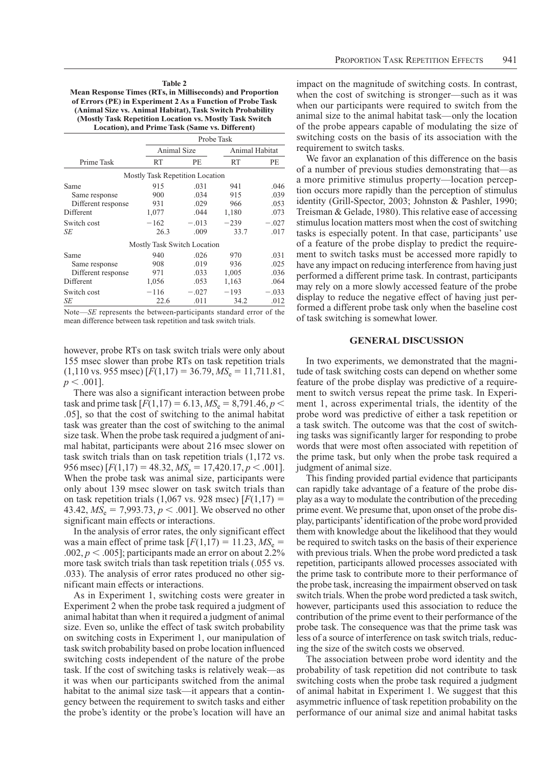#### **Table 2**

**Mean Response Times (RTs, in Milliseconds) and Proportion of Errors (PE) in Experiment 2 As a Function of Probe Task (Animal Size vs. Animal Habitat), Task Switch Probability (Mostly Task Repetition Location vs. Mostly Task Switch Location), and Prime Task (Same vs. Different)**

| Prime Task         | Probe Task                      |         |                |         |
|--------------------|---------------------------------|---------|----------------|---------|
|                    | Animal Size                     |         | Animal Habitat |         |
|                    | RT                              | PE      | RT             | PЕ      |
|                    | Mostly Task Repetition Location |         |                |         |
| Same               | 915                             | .031    | 941            | .046    |
| Same response      | 900                             | .034    | 915            | .039    |
| Different response | 931                             | .029    | 966            | .053    |
| Different          | 1,077                           | .044    | 1,180          | .073    |
| Switch cost        | $-162$                          | $-.013$ | $-239$         | $-.027$ |
| SE                 | 26.3                            | .009    | 33.7           | .017    |
|                    | Mostly Task Switch Location     |         |                |         |
| Same               | 940                             | .026    | 970            | .031    |
| Same response      | 908                             | .019    | 936            | .025    |
| Different response | 971                             | .033    | 1,005          | .036    |
| Different          | 1,056                           | .053    | 1,163          | .064    |
| Switch cost        | $-116$                          | $-.027$ | $-193$         | $-.033$ |
| SE                 | 22.6                            | .011    | 34.2           | .012    |

Note—*SE* represents the between-participants standard error of the mean difference between task repetition and task switch trials.

however, probe RTs on task switch trials were only about 155 msec slower than probe RTs on task repetition trials  $(1,110 \text{ vs. } 955 \text{ msec}) [F(1,17) = 36.79, MS_e = 11,711.81,$  $p < .001$ ].

There was also a significant interaction between probe task and prime task  $[F(1,17) = 6.13, MS_e = 8,791.46, p <$ .05], so that the cost of switching to the animal habitat task was greater than the cost of switching to the animal size task. When the probe task required a judgment of animal habitat, participants were about 216 msec slower on task switch trials than on task repetition trials (1,172 vs. 956 msec)  $[F(1,17) = 48.32, M_s = 17,420.17, p < .001]$ . When the probe task was animal size, participants were only about 139 msec slower on task switch trials than on task repetition trials  $(1,067 \text{ vs. } 928 \text{ msec})$   $[F(1,17) =$ 43.42,  $MS_e = 7,993.73, p < .001$ . We observed no other significant main effects or interactions.

In the analysis of error rates, the only significant effect was a main effect of prime task  $[F(1,17) = 11.23, MS_e =$ .002,  $p < .005$ ]; participants made an error on about 2.2% more task switch trials than task repetition trials (.055 vs. .033). The analysis of error rates produced no other significant main effects or interactions.

As in Experiment 1, switching costs were greater in Experiment 2 when the probe task required a judgment of animal habitat than when it required a judgment of animal size. Even so, unlike the effect of task switch probability on switching costs in Experiment 1, our manipulation of task switch probability based on probe location influenced switching costs independent of the nature of the probe task. If the cost of switching tasks is relatively weak—as it was when our participants switched from the animal habitat to the animal size task—it appears that a contingency between the requirement to switch tasks and either the probe's identity or the probe's location will have an

impact on the magnitude of switching costs. In contrast, when the cost of switching is stronger—such as it was when our participants were required to switch from the animal size to the animal habitat task—only the location of the probe appears capable of modulating the size of switching costs on the basis of its association with the requirement to switch tasks.

We favor an explanation of this difference on the basis of a number of previous studies demonstrating that—as a more primitive stimulus property—location perception occurs more rapidly than the perception of stimulus identity (Grill-Spector, 2003; Johnston & Pashler, 1990; Treisman & Gelade, 1980). This relative ease of accessing stimulus location matters most when the cost of switching tasks is especially potent. In that case, participants' use of a feature of the probe display to predict the requirement to switch tasks must be accessed more rapidly to have any impact on reducing interference from having just performed a different prime task. In contrast, participants may rely on a more slowly accessed feature of the probe display to reduce the negative effect of having just performed a different probe task only when the baseline cost of task switching is somewhat lower.

## **General Discussion**

In two experiments, we demonstrated that the magnitude of task switching costs can depend on whether some feature of the probe display was predictive of a requirement to switch versus repeat the prime task. In Experiment 1, across experimental trials, the identity of the probe word was predictive of either a task repetition or a task switch. The outcome was that the cost of switching tasks was significantly larger for responding to probe words that were most often associated with repetition of the prime task, but only when the probe task required a judgment of animal size.

This finding provided partial evidence that participants can rapidly take advantage of a feature of the probe display as a way to modulate the contribution of the preceding prime event. We presume that, upon onset of the probe display, participants' identification of the probe word provided them with knowledge about the likelihood that they would be required to switch tasks on the basis of their experience with previous trials. When the probe word predicted a task repetition, participants allowed processes associated with the prime task to contribute more to their performance of the probe task, increasing the impairment observed on task switch trials. When the probe word predicted a task switch, however, participants used this association to reduce the contribution of the prime event to their performance of the probe task. The consequence was that the prime task was less of a source of interference on task switch trials, reducing the size of the switch costs we observed.

The association between probe word identity and the probability of task repetition did not contribute to task switching costs when the probe task required a judgment of animal habitat in Experiment 1. We suggest that this asymmetric influence of task repetition probability on the performance of our animal size and animal habitat tasks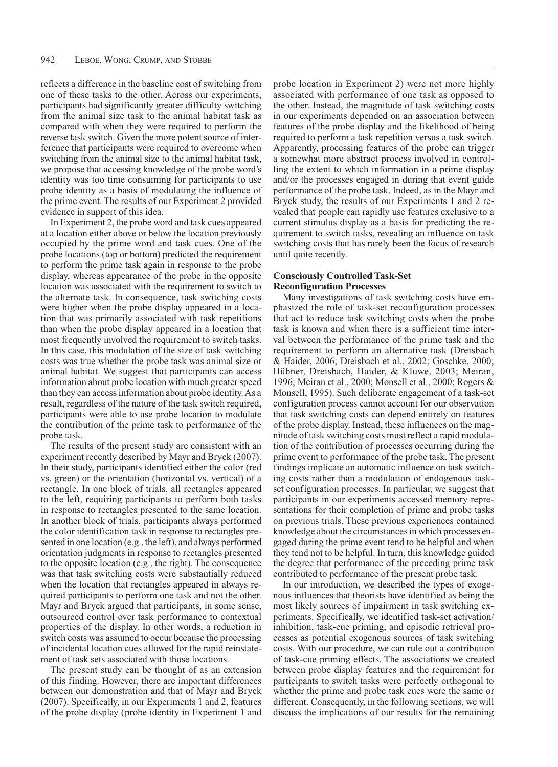reflects a difference in the baseline cost of switching from one of these tasks to the other. Across our experiments, participants had significantly greater difficulty switching from the animal size task to the animal habitat task as compared with when they were required to perform the reverse task switch. Given the more potent source of interference that participants were required to overcome when switching from the animal size to the animal habitat task, we propose that accessing knowledge of the probe word's identity was too time consuming for participants to use probe identity as a basis of modulating the influence of the prime event. The results of our Experiment 2 provided evidence in support of this idea.

In Experiment 2, the probe word and task cues appeared at a location either above or below the location previously occupied by the prime word and task cues. One of the probe locations (top or bottom) predicted the requirement to perform the prime task again in response to the probe display, whereas appearance of the probe in the opposite location was associated with the requirement to switch to the alternate task. In consequence, task switching costs were higher when the probe display appeared in a location that was primarily associated with task repetitions than when the probe display appeared in a location that most frequently involved the requirement to switch tasks. In this case, this modulation of the size of task switching costs was true whether the probe task was animal size or animal habitat. We suggest that participants can access information about probe location with much greater speed than they can access information about probe identity. As a result, regardless of the nature of the task switch required, participants were able to use probe location to modulate the contribution of the prime task to performance of the probe task.

The results of the present study are consistent with an experiment recently described by Mayr and Bryck (2007). In their study, participants identified either the color (red vs. green) or the orientation (horizontal vs. vertical) of a rectangle. In one block of trials, all rectangles appeared to the left, requiring participants to perform both tasks in response to rectangles presented to the same location. In another block of trials, participants always performed the color identification task in response to rectangles presented in one location (e.g., the left), and always performed orientation judgments in response to rectangles presented to the opposite location (e.g., the right). The consequence was that task switching costs were substantially reduced when the location that rectangles appeared in always required participants to perform one task and not the other. Mayr and Bryck argued that participants, in some sense, outsourced control over task performance to contextual properties of the display. In other words, a reduction in switch costs was assumed to occur because the processing of incidental location cues allowed for the rapid reinstatement of task sets associated with those locations.

The present study can be thought of as an extension of this finding. However, there are important differences between our demonstration and that of Mayr and Bryck (2007). Specifically, in our Experiments 1 and 2, features of the probe display (probe identity in Experiment 1 and

probe location in Experiment 2) were not more highly associated with performance of one task as opposed to the other. Instead, the magnitude of task switching costs in our experiments depended on an association between features of the probe display and the likelihood of being required to perform a task repetition versus a task switch. Apparently, processing features of the probe can trigger a somewhat more abstract process involved in controlling the extent to which information in a prime display and/or the processes engaged in during that event guide performance of the probe task. Indeed, as in the Mayr and Bryck study, the results of our Experiments 1 and 2 revealed that people can rapidly use features exclusive to a current stimulus display as a basis for predicting the requirement to switch tasks, revealing an influence on task switching costs that has rarely been the focus of research until quite recently.

# **Consciously Controlled Task-Set Reconfiguration Processes**

Many investigations of task switching costs have emphasized the role of task-set reconfiguration processes that act to reduce task switching costs when the probe task is known and when there is a sufficient time interval between the performance of the prime task and the requirement to perform an alternative task (Dreisbach & Haider, 2006; Dreisbach et al., 2002; Goschke, 2000; Hübner, Dreisbach, Haider, & Kluwe, 2003; Meiran, 1996; Meiran et al., 2000; Monsell et al., 2000; Rogers & Monsell, 1995). Such deliberate engagement of a task-set configuration process cannot account for our observation that task switching costs can depend entirely on features of the probe display. Instead, these influences on the magnitude of task switching costs must reflect a rapid modulation of the contribution of processes occurring during the prime event to performance of the probe task. The present findings implicate an automatic influence on task switching costs rather than a modulation of endogenous taskset configuration processes. In particular, we suggest that participants in our experiments accessed memory representations for their completion of prime and probe tasks on previous trials. These previous experiences contained knowledge about the circumstances in which processes engaged during the prime event tend to be helpful and when they tend not to be helpful. In turn, this knowledge guided the degree that performance of the preceding prime task contributed to performance of the present probe task.

In our introduction, we described the types of exogenous influences that theorists have identified as being the most likely sources of impairment in task switching experiments. Specifically, we identified task-set activation/ inhibition, task-cue priming, and episodic retrieval processes as potential exogenous sources of task switching costs. With our procedure, we can rule out a contribution of task-cue priming effects. The associations we created between probe display features and the requirement for participants to switch tasks were perfectly orthogonal to whether the prime and probe task cues were the same or different. Consequently, in the following sections, we will discuss the implications of our results for the remaining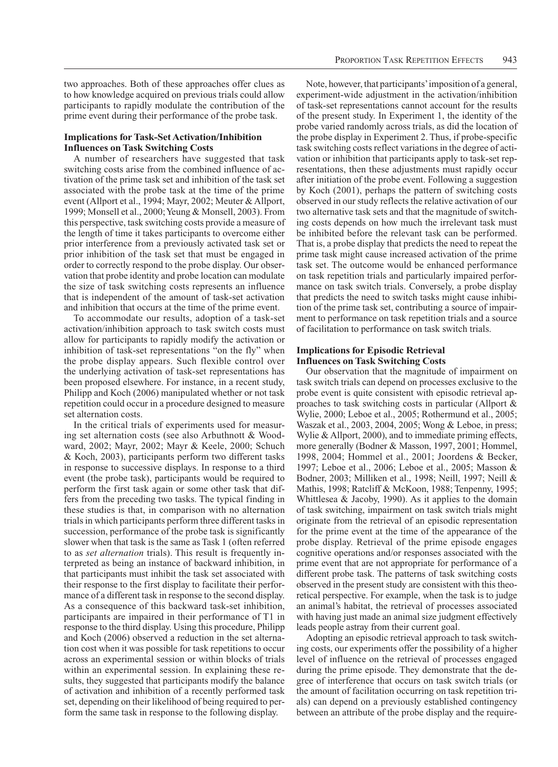two approaches. Both of these approaches offer clues as to how knowledge acquired on previous trials could allow participants to rapidly modulate the contribution of the prime event during their performance of the probe task.

# **Implications for Task-Set Activation/Inhibition Influences on Task Switching Costs**

A number of researchers have suggested that task switching costs arise from the combined influence of activation of the prime task set and inhibition of the task set associated with the probe task at the time of the prime event (Allport et al., 1994; Mayr, 2002; Meuter & Allport, 1999; Monsell et al., 2000; Yeung & Monsell, 2003). From this perspective, task switching costs provide a measure of the length of time it takes participants to overcome either prior interference from a previously activated task set or prior inhibition of the task set that must be engaged in order to correctly respond to the probe display. Our observation that probe identity and probe location can modulate the size of task switching costs represents an influence that is independent of the amount of task-set activation and inhibition that occurs at the time of the prime event.

To accommodate our results, adoption of a task-set activation/inhibition approach to task switch costs must allow for participants to rapidly modify the activation or inhibition of task-set representations "on the fly" when the probe display appears. Such flexible control over the underlying activation of task-set representations has been proposed elsewhere. For instance, in a recent study, Philipp and Koch (2006) manipulated whether or not task repetition could occur in a procedure designed to measure set alternation costs.

In the critical trials of experiments used for measuring set alternation costs (see also Arbuthnott & Woodward, 2002; Mayr, 2002; Mayr & Keele, 2000; Schuch & Koch, 2003), participants perform two different tasks in response to successive displays. In response to a third event (the probe task), participants would be required to perform the first task again or some other task that differs from the preceding two tasks. The typical finding in these studies is that, in comparison with no alternation trials in which participants perform three different tasks in succession, performance of the probe task is significantly slower when that task is the same as Task 1 (often referred to as *set alternation* trials). This result is frequently interpreted as being an instance of backward inhibition, in that participants must inhibit the task set associated with their response to the first display to facilitate their performance of a different task in response to the second display. As a consequence of this backward task-set inhibition, participants are impaired in their performance of T1 in response to the third display. Using this procedure, Philipp and Koch (2006) observed a reduction in the set alternation cost when it was possible for task repetitions to occur across an experimental session or within blocks of trials within an experimental session. In explaining these results, they suggested that participants modify the balance of activation and inhibition of a recently performed task set, depending on their likelihood of being required to perform the same task in response to the following display.

Note, however, that participants' imposition of a general, experiment-wide adjustment in the activation/inhibition of task-set representations cannot account for the results of the present study. In Experiment 1, the identity of the probe varied randomly across trials, as did the location of the probe display in Experiment 2. Thus, if probe-specific task switching costs reflect variations in the degree of activation or inhibition that participants apply to task-set representations, then these adjustments must rapidly occur after initiation of the probe event. Following a suggestion by Koch (2001), perhaps the pattern of switching costs observed in our study reflects the relative activation of our two alternative task sets and that the magnitude of switching costs depends on how much the irrelevant task must be inhibited before the relevant task can be performed. That is, a probe display that predicts the need to repeat the prime task might cause increased activation of the prime task set. The outcome would be enhanced performance on task repetition trials and particularly impaired performance on task switch trials. Conversely, a probe display that predicts the need to switch tasks might cause inhibition of the prime task set, contributing a source of impairment to performance on task repetition trials and a source of facilitation to performance on task switch trials.

# **Implications for Episodic Retrieval Influences on Task Switching Costs**

Our observation that the magnitude of impairment on task switch trials can depend on processes exclusive to the probe event is quite consistent with episodic retrieval approaches to task switching costs in particular (Allport & Wylie, 2000; Leboe et al., 2005; Rothermund et al., 2005; Waszak et al., 2003, 2004, 2005; Wong & Leboe, in press; Wylie & Allport, 2000), and to immediate priming effects, more generally (Bodner & Masson, 1997, 2001; Hommel, 1998, 2004; Hommel et al., 2001; Joordens & Becker, 1997; Leboe et al., 2006; Leboe et al., 2005; Masson & Bodner, 2003; Milliken et al., 1998; Neill, 1997; Neill & Mathis, 1998; Ratcliff & McKoon, 1988; Tenpenny, 1995; Whittlesea & Jacoby, 1990). As it applies to the domain of task switching, impairment on task switch trials might originate from the retrieval of an episodic representation for the prime event at the time of the appearance of the probe display. Retrieval of the prime episode engages cognitive operations and/or responses associated with the prime event that are not appropriate for performance of a different probe task. The patterns of task switching costs observed in the present study are consistent with this theoretical perspective. For example, when the task is to judge an animal's habitat, the retrieval of processes associated with having just made an animal size judgment effectively leads people astray from their current goal.

Adopting an episodic retrieval approach to task switching costs, our experiments offer the possibility of a higher level of influence on the retrieval of processes engaged during the prime episode. They demonstrate that the degree of interference that occurs on task switch trials (or the amount of facilitation occurring on task repetition trials) can depend on a previously established contingency between an attribute of the probe display and the require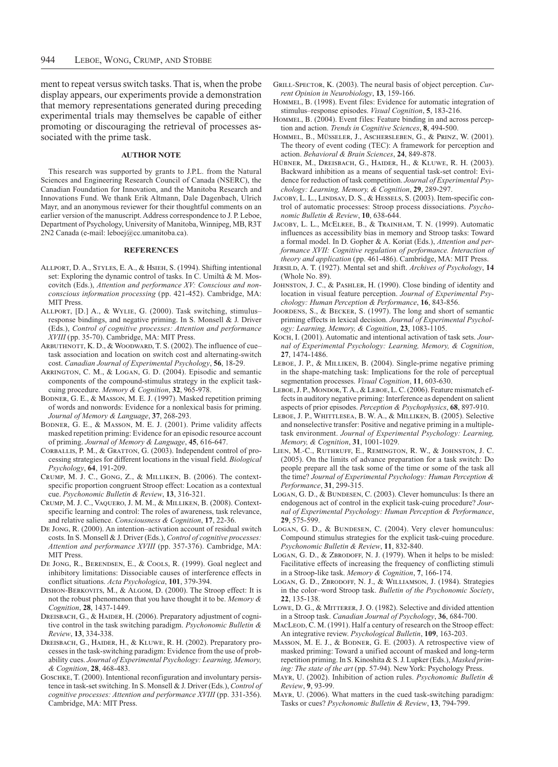ment to repeat versus switch tasks. That is, when the probe display appears, our experiments provide a demonstration that memory representations generated during preceding experimental trials may themselves be capable of either promoting or discouraging the retrieval of processes associated with the prime task.

#### **Author Note**

This research was supported by grants to J.P.L. from the Natural Sciences and Engineering Research Council of Canada (NSERC), the Canadian Foundation for Innovation, and the Manitoba Research and Innovations Fund. We thank Erik Altmann, Dale Dagenbach, Ulrich Mayr, and an anonymous reviewer for their thoughtful comments on an earlier version of the manuscript. Address correspondence to J. P. Leboe, Department of Psychology, University of Manitoba, Winnipeg, MB, R3T 2N2 Canada (e-mail: leboej@cc.umanitoba.ca).

#### **References**

- Allport, D. A., Styles, E. A., & Hsieh, S. (1994). Shifting intentional set: Exploring the dynamic control of tasks. In C. Umiltà & M. Moscovitch (Eds.), *Attention and performance XV: Conscious and nonconscious information processing* (pp. 421-452). Cambridge, MA: MIT Press.
- Allport, [D.] A., & Wylie, G. (2000). Task switching, stimulus– response bindings, and negative priming. In S. Monsell & J. Driver (Eds.), *Control of cognitive processes: Attention and performance XVIII* (pp. 35-70). Cambridge, MA: MIT Press.
- ARBUTHNOTT, K. D., & WOODWARD, T. S. (2002). The influence of cuetask association and location on switch cost and alternating-switch cost. *Canadian Journal of Experimental Psychology*, **56**, 18-29.
- Arrington, C. M., & Logan, G. D. (2004). Episodic and semantic components of the compound-stimulus strategy in the explicit taskcuing procedure. *Memory & Cognition*, **32**, 965-978.
- BODNER, G. E., & MASSON, M. E. J. (1997). Masked repetition priming of words and nonwords: Evidence for a nonlexical basis for priming. *Journal of Memory & Language*, **37**, 268-293.
- Bodner, G. E., & Masson, M. E. J. (2001). Prime validity affects masked repetition priming: Evidence for an episodic resource account of priming. *Journal of Memory & Language*, **45**, 616-647.
- CORBALLIS, P. M., & GRATTON, G. (2003). Independent control of processing strategies for different locations in the visual field. *Biological Psychology*, **64**, 191-209.
- Crump, M. J. C., Gong, Z., & Milliken, B. (2006). The contextspecific proportion congruent Stroop effect: Location as a contextual cue. *Psychonomic Bulletin & Review*, **13**, 316-321.
- Crump, M. J. C., Vaquero, J. M. M., & Milliken, B. (2008). Contextspecific learning and control: The roles of awareness, task relevance, and relative salience. *Consciousness & Cognition*, **17**, 22-36.
- De Jong, R. (2000). An intention–activation account of residual switch costs. In S. Monsell & J. Driver (Eds.), *Control of cognitive processes: Attention and performance XVIII* (pp. 357-376). Cambridge, MA: MIT Press.
- De Jong, R., Berendsen, E., & Cools, R. (1999). Goal neglect and inhibitory limitations: Dissociable causes of interference effects in conflict situations. *Acta Psychologica*, **101**, 379-394.
- Dishon-Berkovits, M., & Algom, D. (2000). The Stroop effect: It is not the robust phenomenon that you have thought it to be. *Memory & Cognition*, **28**, 1437-1449.
- DREISBACH, G., & HAIDER, H. (2006). Preparatory adjustment of cognitive control in the task switching paradigm. *Psychonomic Bulletin & Review*, **13**, 334-338.
- DREISBACH, G., HAIDER, H., & KLUWE, R. H. (2002). Preparatory processes in the task-switching paradigm: Evidence from the use of probability cues. *Journal of Experimental Psychology: Learning, Memory, & Cognition*, **28**, 468-483.
- Goschke, T. (2000). Intentional reconfiguration and involuntary persistence in task-set switching. In S. Monsell & J. Driver (Eds.), *Control of cognitive processes: Attention and performance XVIII* (pp. 331-356). Cambridge, MA: MIT Press.
- Grill-Spector, K. (2003). The neural basis of object perception. *Current Opinion in Neurobiology*, **13**, 159-166.
- Hommel, B. (1998). Event files: Evidence for automatic integration of stimulus–response episodes. *Visual Cognition*, **5**, 183-216.
- HOMMEL, B. (2004). Event files: Feature binding in and across perception and action. *Trends in Cognitive Sciences*, **8**, 494-500.
- Hommel, B., Müsseler, J., Aschersleben, G., & Prinz, W. (2001). The theory of event coding (TEC): A framework for perception and action. *Behavioral & Brain Sciences*, **24**, 849-878.
- Hübner, M., Dreisbach, G., Haider, H., & Kluwe, R. H. (2003). Backward inhibition as a means of sequential task-set control: Evidence for reduction of task competition. *Journal of Experimental Psychology: Learning, Memory, & Cognition*, **29**, 289-297.
- Jacoby, L. L., Lindsay, D. S., & Hessels, S. (2003). Item-specific control of automatic processes: Stroop process dissociations. *Psychonomic Bulletin & Review*, **10**, 638-644.
- JACOBY, L. L., MCELREE, B., & TRAINHAM, T. N. (1999). Automatic influences as accessibility bias in memory and Stroop tasks: Toward a formal model. In D. Gopher & A. Koriat (Eds.), *Attention and performance XVII: Cognitive regulation of performance. Interaction of theory and application* (pp. 461-486). Cambridge, MA: MIT Press.
- Jersild, A. T. (1927). Mental set and shift. *Archives of Psychology*, **14**  (Whole No. 89).
- Johnston, J. C., & Pashler, H. (1990). Close binding of identity and location in visual feature perception. *Journal of Experimental Psychology: Human Perception & Performance*, **16**, 843-856.
- Joordens, S., & Becker, S. (1997). The long and short of semantic priming effects in lexical decision. *Journal of Experimental Psychology: Learning, Memory, & Cognition*, **23**, 1083-1105.
- Koch, I. (2001). Automatic and intentional activation of task sets. *Journal of Experimental Psychology: Learning, Memory, & Cognition*, **27**, 1474-1486.
- Leboe, J. P., & Milliken, B. (2004). Single-prime negative priming in the shape-matching task: Implications for the role of perceptual segmentation processes. *Visual Cognition*, **11**, 603-630.
- LEBOE, J. P., MONDOR, T. A., & LEBOE, L. C. (2006). Feature mismatch effects in auditory negative priming: Interference as dependent on salient aspects of prior episodes. *Perception & Psychophysics*, **68**, 897-910.
- Leboe, J. P., Whittlesea, B. W. A., & Milliken, B. (2005). Selective and nonselective transfer: Positive and negative priming in a multipletask environment. *Journal of Experimental Psychology: Learning, Memory, & Cognition*, **31**, 1001-1029.
- Lien, M.-C., Ruthruff, E., Remington, R. W., & Johnston, J. C. (2005). On the limits of advance preparation for a task switch: Do people prepare all the task some of the time or some of the task all the time? *Journal of Experimental Psychology: Human Perception & Performance*, **31**, 299-315.
- LOGAN, G. D., & BUNDESEN, C. (2003). Clever homunculus: Is there an endogenous act of control in the explicit task-cuing procedure? *Journal of Experimental Psychology: Human Perception & Performance*, **29**, 575-599.
- LOGAN, G. D., & BUNDESEN, C. (2004). Very clever homunculus: Compound stimulus strategies for the explicit task-cuing procedure. *Psychonomic Bulletin & Review*, **11**, 832-840.
- LOGAN, G. D., & ZBRODOFF, N. J. (1979). When it helps to be misled: Facilitative effects of increasing the frequency of conflicting stimuli in a Stroop-like task. *Memory & Cognition*, **7**, 166-174.
- Logan, G. D., Zbrodoff, N. J., & Williamson, J. (1984). Strategies in the color–word Stroop task. *Bulletin of the Psychonomic Society*, **22**, 135-138.
- Lowe, D. G., & MITTERER, J. O. (1982). Selective and divided attention in a Stroop task. *Canadian Journal of Psychology*, **36**, 684-700.
- MACLEOD, C. M. (1991). Half a century of research on the Stroop effect: An integrative review. *Psychological Bulletin*, **109**, 163-203.
- MASSON, M. E. J., & BODNER, G. E. (2003). A retrospective view of masked priming: Toward a unified account of masked and long-term repetition priming. In S. Kinoshita & S. J. Lupker (Eds.), *Masked priming: The state of the art* (pp. 57-94). New York: Psychology Press.
- Mayr, U. (2002). Inhibition of action rules. *Psychonomic Bulletin & Review*, **9**, 93-99.
- Mayr, U. (2006). What matters in the cued task-switching paradigm: Tasks or cues? *Psychonomic Bulletin & Review*, **13**, 794-799.